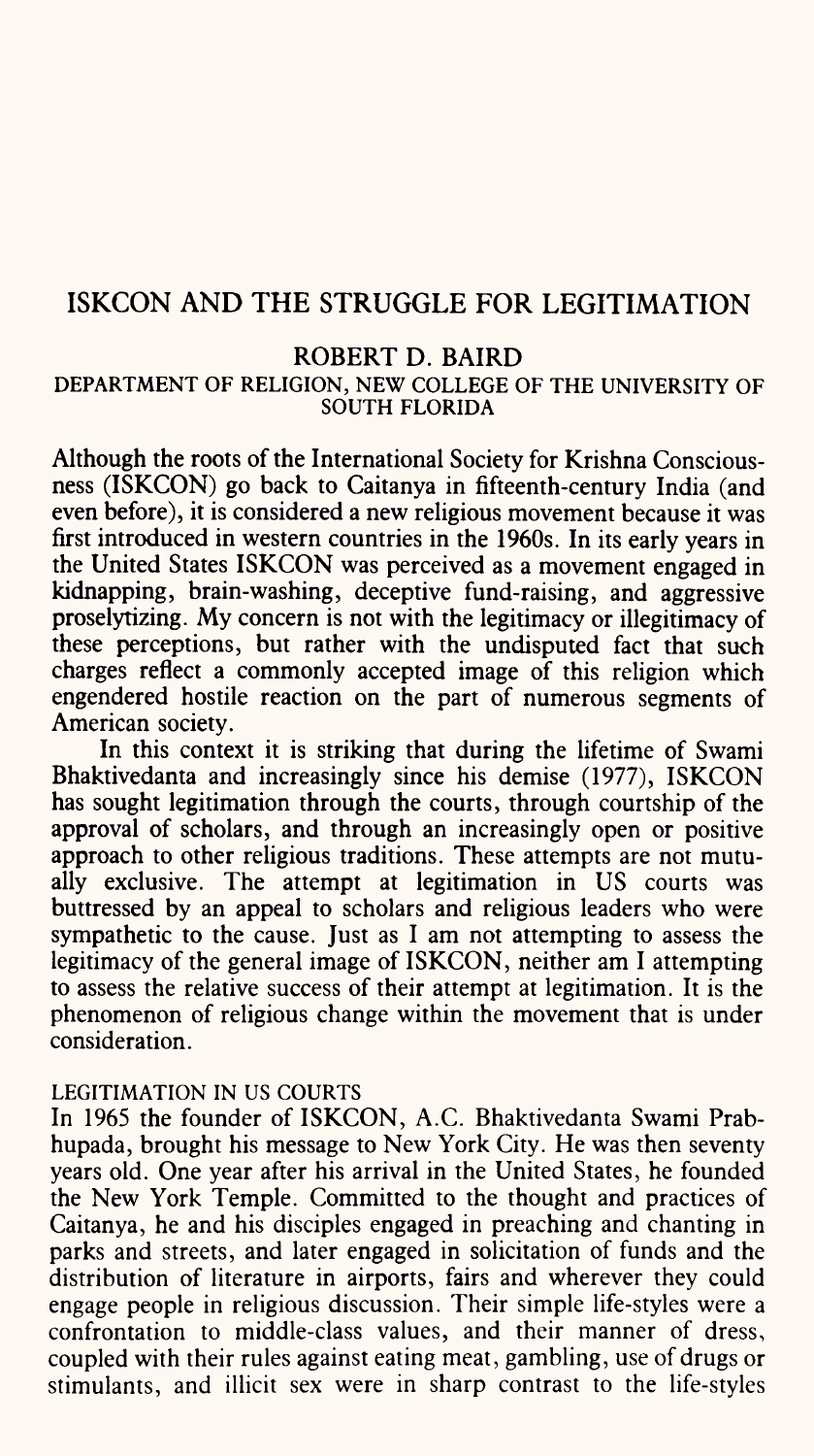# ISKCON AND THE STRUGGLE FOR LEGITIMATION

## ROBERT D. BAIRD

### DEPARTMENT OF RELIGION, NEW COLLEGE OF THE UNIVERSITY OF SOUTH FLORIDA

Although the roots of the International Society for Krishna Consciousness (ISKCON) go back to Caitanya in fifteenth-century India (and even before), it is considered a new religious movement because it was first introduced in western countries in the 1960s. In its early years in the United States ISKCON was perceived as a movement engaged in kidnapping, brain-washing, deceptive fund-raising, and aggressive proselytizing. My concern is not with the legitimacy or illegitimacy of these perceptions, but rather with the undisputed fact that such charges reflect a commonly accepted image of this religion which engendered hostile reaction on the part of numerous segments of American society.

In this context it is striking that during the lifetime of Swami Bhaktivedanta and increasingly since his demise (1977), ISKCON has sought legitimation through the courts, through courtship of the approval of scholars, and through an increasingly open or positive approach to other religious traditions. These attempts are not mutually exclusive. The attempt at legitimation in US courts was buttressed by an appeal to scholars and religious leaders who were sympathetic to the cause. Just as I am not attempting to assess the legitimacy of the general image of ISKCON, neither am I attempting to assess the relative success of their attempt at legitimation. It is the phenomenon of religious change within the movement that is under consideration.

### LEGITIMATION IN US COURTS

In 1965 the founder of ISKCON, A.C. Bhaktivedanta Swami Prabhupada, brought his message to New York City. He was then seventy years old. One year after his arrival in the United States, he founded the New York Temple. Committed to the thought and practices of Caitanya, he and his disciples engaged in preaching and chanting in parks and streets, and later engaged in solicitation of funds and the distribution of literature in airports, fairs and wherever they could engage people in religious discussion. Their simple life-styles were <sup>a</sup> confrontation to middle-class values, and their manner of dress, coupled with their rules against eating meat, gambling, use of drugs or stimulants, and illicit sex were in sharp contrast to the life-styles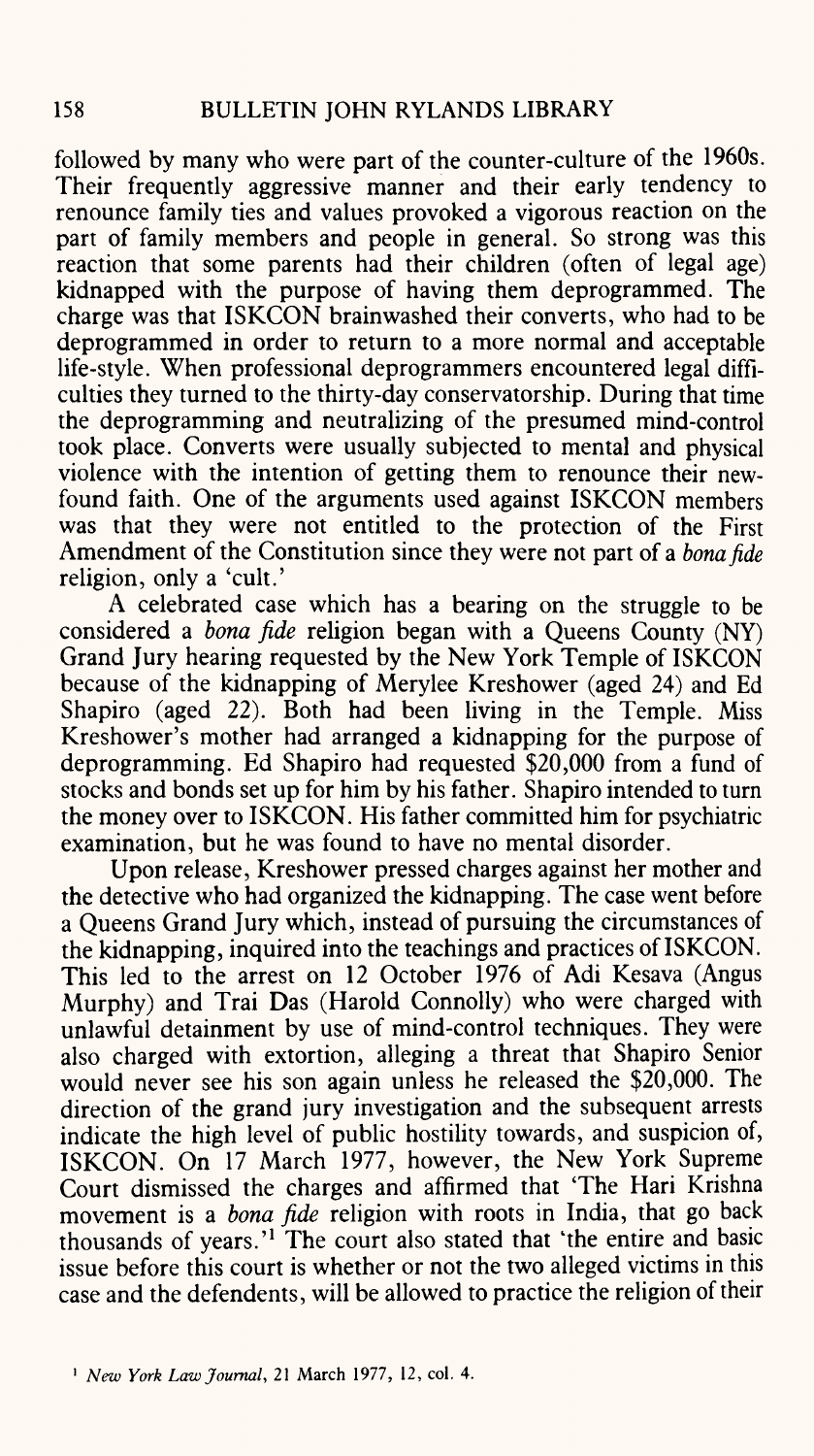followed by many who were part of the counter-culture of the 1960s. Their frequently aggressive manner and their early tendency to renounce family ties and values provoked a vigorous reaction on the part of family members and people in general. So strong was this reaction that some parents had their children (often of legal age) kidnapped with the purpose of having them deprogrammed. The charge was that ISKCON brainwashed their converts, who had to be deprogrammed in order to return to a more normal and acceptable life-style. When professional deprogrammers encountered legal difficulties they turned to the thirty-day conservatorship. During that time the deprogramming and neutralizing of the presumed mind-control took place. Converts were usually subjected to mental and physical violence with the intention of getting them to renounce their newfound faith. One of the arguments used against ISKCON members was that they were not entitled to the protection of the First Amendment of the Constitution since they were not part of a *bonafide*  religion, only a 'cult.'

A celebrated case which has a bearing on the struggle to be considered a *bona fide* religion began with a Queens County (NY) Grand Jury hearing requested by the New York Temple of ISKCON because of the kidnapping of Merylee Kreshower (aged 24) and Ed Shapiro (aged 22). Both had been living in the Temple. Miss Kreshower's mother had arranged a kidnapping for the purpose of deprogramming. Ed Shapiro had requested \$20,000 from a fund of stocks and bonds set up for him by his father. Shapiro intended to turn the money over to ISKCON. His father committed him for psychiatric examination, but he was found to have no mental disorder.

Upon release, Kreshower pressed charges against her mother and the detective who had organized the kidnapping. The case went before <sup>a</sup>Queens Grand Jury which, instead of pursuing the circumstances of the kidnapping, inquired into the teachings and practices of ISKCON. This led to the arrest on 12 October 1976 of Adi Kesava (Angus Murphy) and Trai Das (Harold Connolly) who were charged with unlawful detainment by use of mind-control techniques. They were also charged with extortion, alleging a threat that Shapiro Senior would never see his son again unless he released the \$20,000. The direction of the grand jury investigation and the subsequent arrests indicate the high level of public hostility towards, and suspicion of, ISKCON. On 17 March 1977, however, the New York Supreme Court dismissed the charges and affirmed that The Hari Krishna movement is a *bona fide* religion with roots in India, that go back thousands of years.<sup>'1</sup> The court also stated that 'the entire and basic issue before this court is whether or not the two alleged victims in this case and the defendents, will be allowed to practice the religion of their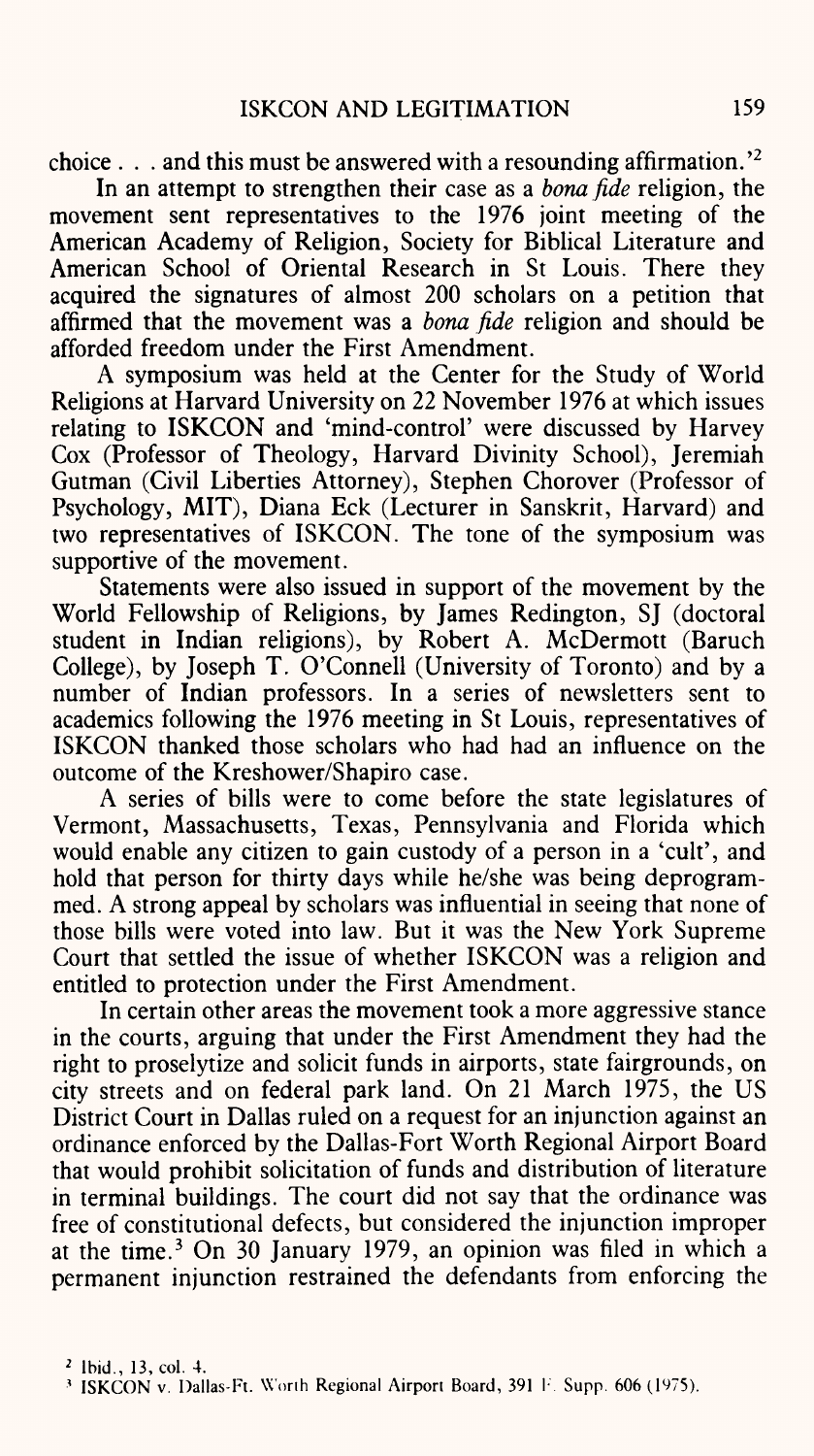choice . . . and this must be answered with a resounding affirmation.'2

In an attempt to strengthen their case as <sup>a</sup>*bonafide* religion, the movement sent representatives to the 1976 joint meeting of the American Academy of Religion, Society for Biblical Literature and American School of Oriental Research in St Louis. There they acquired the signatures of almost 200 scholars on a petition that affirmed that the movement was <sup>a</sup>*bona fide* religion and should be afforded freedom under the First Amendment.

A symposium was held at the Center for the Study of World Religions at Harvard University on 22 November 1976 at which issues relating to ISKCON and 'mind-control' were discussed by Harvey Cox (Professor of Theology, Harvard Divinity School), Jeremiah Gutman (Civil Liberties Attorney), Stephen Chorover (Professor of Psychology, MIT), Diana Eck (Lecturer in Sanskrit, Harvard) and two representatives of ISKCON. The tone of the symposium was supportive of the movement.

Statements were also issued in support of the movement by the World Fellowship of Religions, by James Redington, SJ (doctoral student in Indian religions), by Robert A. McDermott (Baruch College), by Joseph T. O'Connell (University of Toronto) and by <sup>a</sup> number of Indian professors. In a series of newsletters sent to academics following the 1976 meeting in St Louis, representatives of ISKCON thanked those scholars who had had an influence on the outcome of the Kreshower/Shapiro case.

A series of bills were to come before the state legislatures of Vermont, Massachusetts, Texas, Pennsylvania and Florida which would enable any citizen to gain custody of a person in a 'cult', and hold that person for thirty days while he/she was being deprogrammed. A strong appeal by scholars was influential in seeing that none of those bills were voted into law. But it was the New York Supreme Court that settled the issue of whether ISKCON was a religion and entitled to protection under the First Amendment.

In certain other areas the movement took a more aggressive stance in the courts, arguing that under the First Amendment they had the right to proselytize and solicit funds in airports, state fairgrounds, on city streets and on federal park land. On 21 March 1975, the US District Court in Dallas ruled on a request for an injunction against an ordinance enforced by the Dallas-Fort Worth Regional Airport Board that would prohibit solicitation of funds and distribution of literature in terminal buildings. The court did not say that the ordinance was free of constitutional defects, but considered the injunction improper at the time.<sup>3</sup> On 30 January 1979, an opinion was filed in which a permanent injunction restrained the defendants from enforcing the

<sup>&</sup>lt;sup>3</sup> ISKCON v. Dallas-Ft. Worth Regional Airport Board, 391 F. Supp. 606 (1975).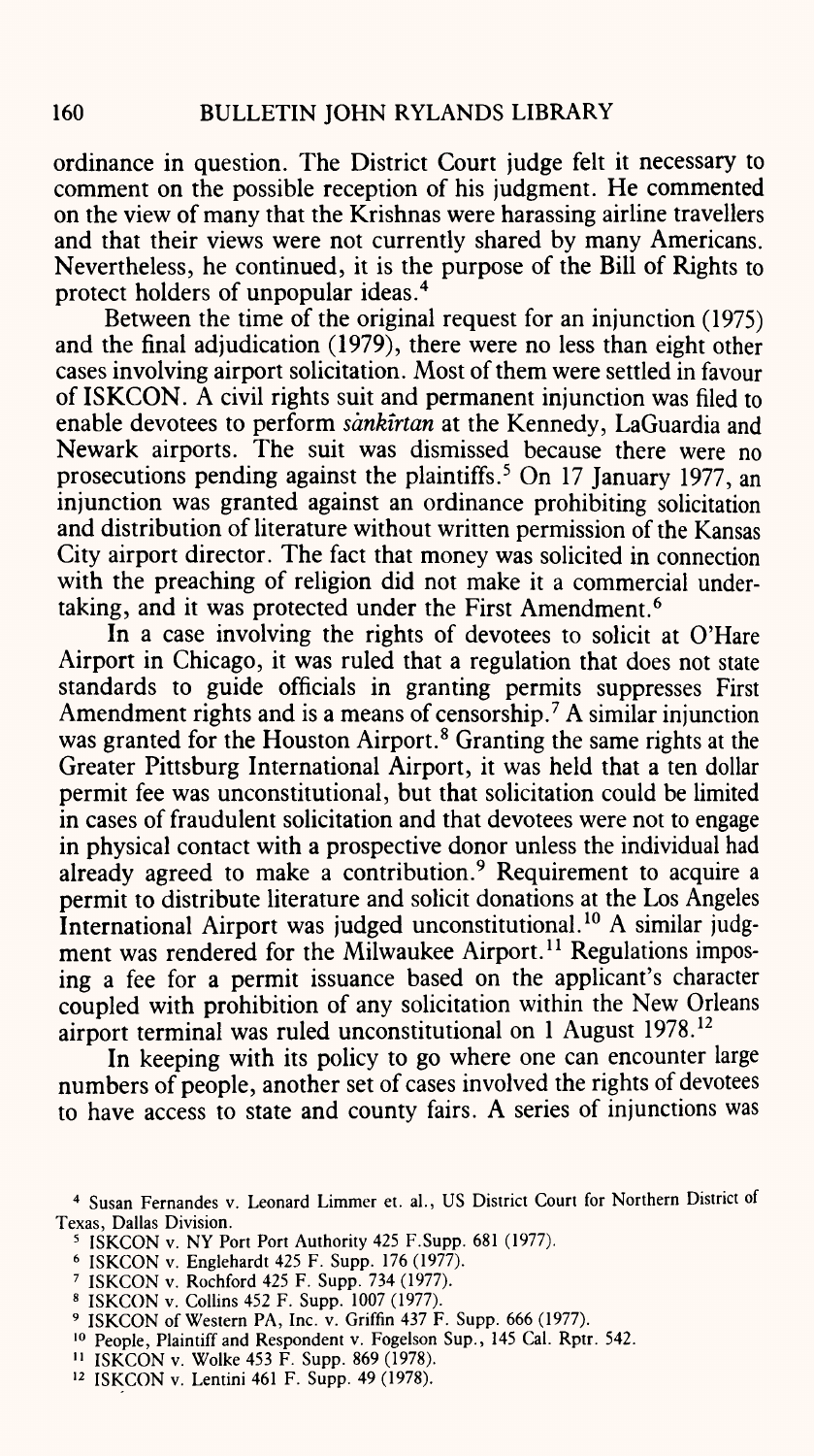ordinance in question. The District Court judge felt it necessary to comment on the possible reception of his judgment. He commented on the view of many that the Krishnas were harassing airline travellers and that their views were not currently shared by many Americans. Nevertheless, he continued, it is the purpose of the Bill of Rights to protect holders of unpopular ideas.4

Between the time of the original request for an injunction (1975) and the final adjudication (1979), there were no less than eight other cases involving airport solicitation. Most of them were settled in favour of ISKCON. A civil rights suit and permanent injunction was filed to enable devotees to perform *sankirtan* at the Kennedy, LaGuardia and Newark airports. The suit was dismissed because there were no prosecutions pending against the plaintiffs. 5 On 17 January 1977, an injunction was granted against an ordinance prohibiting solicitation and distribution of literature without written permission of the Kansas City airport director. The fact that money was solicited in connection with the preaching of religion did not make it a commercial undertaking, and it was protected under the First Amendment. 6

In a case involving the rights of devotees to solicit at O'Hare Airport in Chicago, it was ruled that a regulation that does not state standards to guide officials in granting permits suppresses First Amendment rights and is a means of censorship.<sup>7</sup> A similar injunction was granted for the Houston Airport.<sup>8</sup> Granting the same rights at the Greater Pittsburg International Airport, it was held that a ten dollar permit fee was unconstitutional, but that solicitation could be limited in cases of fraudulent solicitation and that devotees were not to engage in physical contact with a prospective donor unless the individual had already agreed to make a contribution.<sup>9</sup> Requirement to acquire a permit to distribute literature and solicit donations at the Los Angeles International Airport was judged unconstitutional. 10 A similar judgment was rendered for the Milwaukee Airport.<sup>11</sup> Regulations imposing a fee for a permit issuance based on the applicant's character coupled with prohibition of any solicitation within the New Orleans airport terminal was ruled unconstitutional on 1 August 1978. 12

In keeping with its policy to go where one can encounter large numbers of people, another set of cases involved the rights of devotees to have access to state and county fairs. A series of injunctions was

- 6 ISKCON v. Englehardt 425 F. Supp. 176 (1977).
- 7 ISKCON v. Rochford 425 F. Supp. 734 (1977).
- 8 ISKCON v. Collins 452 F. Supp. 1007 (1977).
- 9 ISKCON of Western PA, Inc. v. Griffin 437 F. Supp. 666 (1977).
- 10 People, Plaintiff and Respondent v. Fogelson Sup., 145 Cal. Rptr. 542.
- 11 ISKCON v. Wolke 453 F. Supp. 869 (1978).
- 12 ISKCON v. Lentini 461 F. Supp. 49 (1978).

<sup>&</sup>lt;sup>4</sup> Susan Fernandes v. Leonard Limmer et. al., US District Court for Northern District of Texas, Dallas Division.

*<sup>5</sup>* ISKCON v. NY Port Port Authority 425 F.Supp. 681 (1977).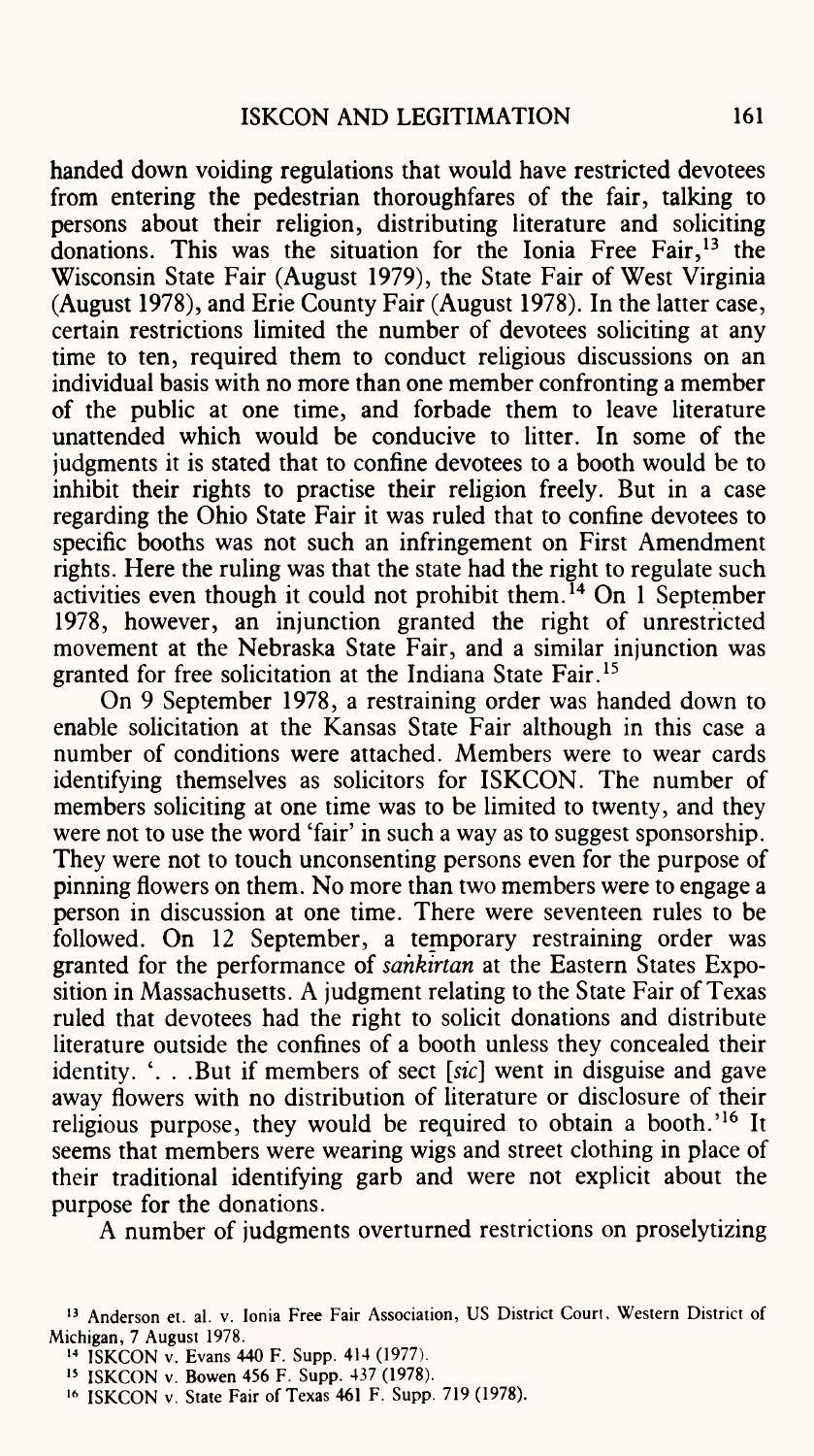handed down voiding regulations that would have restricted devotees from entering the pedestrian thoroughfares of the fair, talking to persons about their religion, distributing literature and soliciting donations. This was the situation for the Ionia Free Fair, 13 the Wisconsin State Fair (August 1979), the State Fair of West Virginia (August 1978), and Erie County Fair (August 1978). In the latter case, certain restrictions limited the number of devotees soliciting at any time to ten, required them to conduct religious discussions on an individual basis with no more than one member confronting a member of the public at one time, and forbade them to leave literature unattended which would be conducive to litter. In some of the judgments it is stated that to confine devotees to a booth would be to inhibit their rights to practise their religion freely. But in a case regarding the Ohio State Fair it was ruled that to confine devotees to specific booths was not such an infringement on First Amendment rights. Here the ruling was that the state had the right to regulate such activities even though it could not prohibit them.<sup> $14$ </sup> On 1 September 1978, however, an injunction granted the right of unrestricted movement at the Nebraska State Fair, and a similar injunction was granted for free solicitation at the Indiana State Fair. 15

On 9 September 1978, a restraining order was handed down to enable solicitation at the Kansas State Fair although in this case <sup>a</sup> number of conditions were attached. Members were to wear cards identifying themselves as solicitors for ISKCON. The number of members soliciting at one time was to be limited to twenty, and they were not to use the word 'fair' in such a way as to suggest sponsorship. They were not to touch unconsenting persons even for the purpose of pinning flowers on them. No more than two members were to engage <sup>a</sup> person in discussion at one time. There were seventeen rules to be followed. On 12 September, a temporary restraining order was granted for the performance of *sahkirtan* at the Eastern States Exposition in Massachusetts. A judgment relating to the State Fair of Texas ruled that devotees had the right to solicit donations and distribute literature outside the confines of a booth unless they concealed their identity. '. . .But if members of sect *[sic]* went in disguise and gave away flowers with no distribution of literature or disclosure of their religious purpose, they would be required to obtain a booth.<sup>'16</sup> It seems that members were wearing wigs and street clothing in place of their traditional identifying garb and were not explicit about the purpose for the donations.

A number of judgments overturned restrictions on proselytizing

<sup>13</sup> Anderson et. al. v. Ionia Free Fair Association, US District Court, Western District of Michigan, 7 August 1978.

<sup>14</sup> ISKCON v. Evans 440 F. Supp. 414 (1977).

<sup>15</sup> ISKCON v. Bowen 456 F. Supp. 437 (1978).

<sup>16</sup> ISKCON v. State Fair of Texas 461 F. Supp. 719 (1978).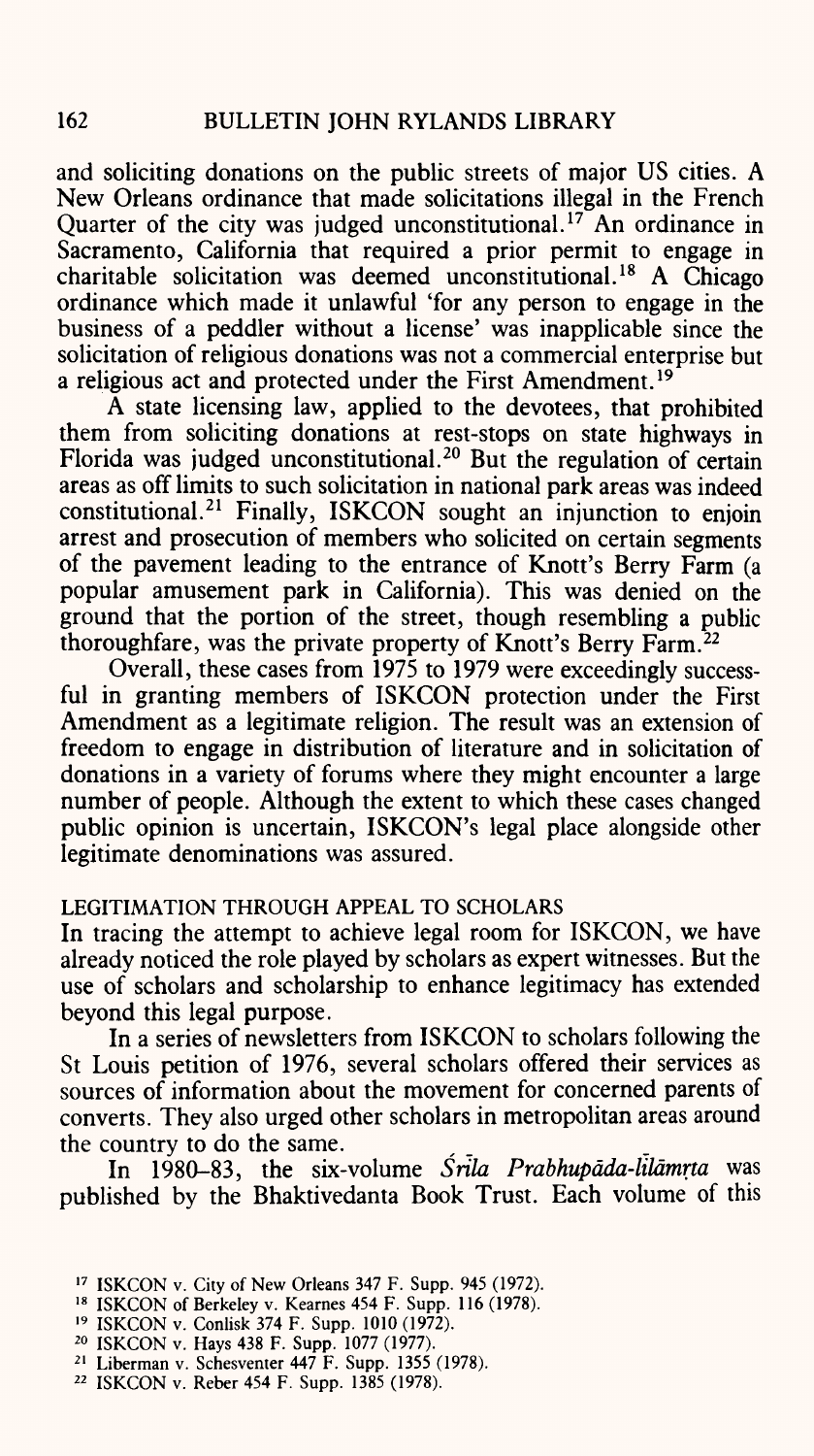and soliciting donations on the public streets of major US cities. A New Orleans ordinance that made solicitations illegal in the French Quarter of the city was judged unconstitutional.<sup>17</sup> An ordinance in Sacramento, California that required a prior permit to engage in charitable solicitation was deemed unconstitutional. 18 A Chicago ordinance which made it unlawful 'for any person to engage in the business of a peddler without a license' was inapplicable since the solicitation of religious donations was not a commercial enterprise but a religious act and protected under the First Amendment. <sup>19</sup>

A state licensing law, applied to the devotees, that prohibited them from soliciting donations at rest-stops on state highways in Florida was judged unconstitutional.<sup>20</sup> But the regulation of certain areas as off limits to such solicitation in national park areas was indeed constitutional. 21 Finally, ISKCON sought an injunction to enjoin arrest and prosecution of members who solicited on certain segments of the pavement leading to the entrance of Knott's Berry Farm (a popular amusement park in California). This was denied on the ground that the portion of the street, though resembling a public thoroughfare, was the private property of Knott's Berry Farm. <sup>22</sup>

Overall, these cases from 1975 to 1979 were exceedingly successful in granting members of ISKCON protection under the First Amendment as a legitimate religion. The result was an extension of freedom to engage in distribution of literature and in solicitation of donations in a variety of forums where they might encounter a large number of people. Although the extent to which these cases changed public opinion is uncertain, ISKCON's legal place alongside other legitimate denominations was assured.

## LEGITIMATION THROUGH APPEAL TO SCHOLARS

In tracing the attempt to achieve legal room for ISKCON, we have already noticed the role played by scholars as expert witnesses. But the use of scholars and scholarship to enhance legitimacy has extended beyond this legal purpose.

In a series of newsletters from ISKCON to scholars following the St Louis petition of 1976, several scholars offered their services as sources of information about the movement for concerned parents of converts. They also urged other scholars in metropolitan areas around

the country to do the same.<br>In 1980–83, the six-In 1980-83, the six-volume *Srila Prabhupdda-lildmrta* was published by the Bhaktivedanta Book Trust. Each volume of this

17 ISKCON v. City of New Orleans 347 F. Supp. 945 (1972).

21 Liberman v. Schesventer 447 F. Supp. 1355 (1978).

<sup>18</sup> ISKCON of Berkeley v. Kearnes 454 F. Supp. 116 (1978).

<sup>19</sup> ISKCON v. Conlisk 374 F. Supp. 1010 (1972).

<sup>20</sup> ISKCON v. Hays 438 F. Supp. 1077 (1977).

<sup>22</sup> ISKCON v. Reber 454 F. Supp. 1385 (1978).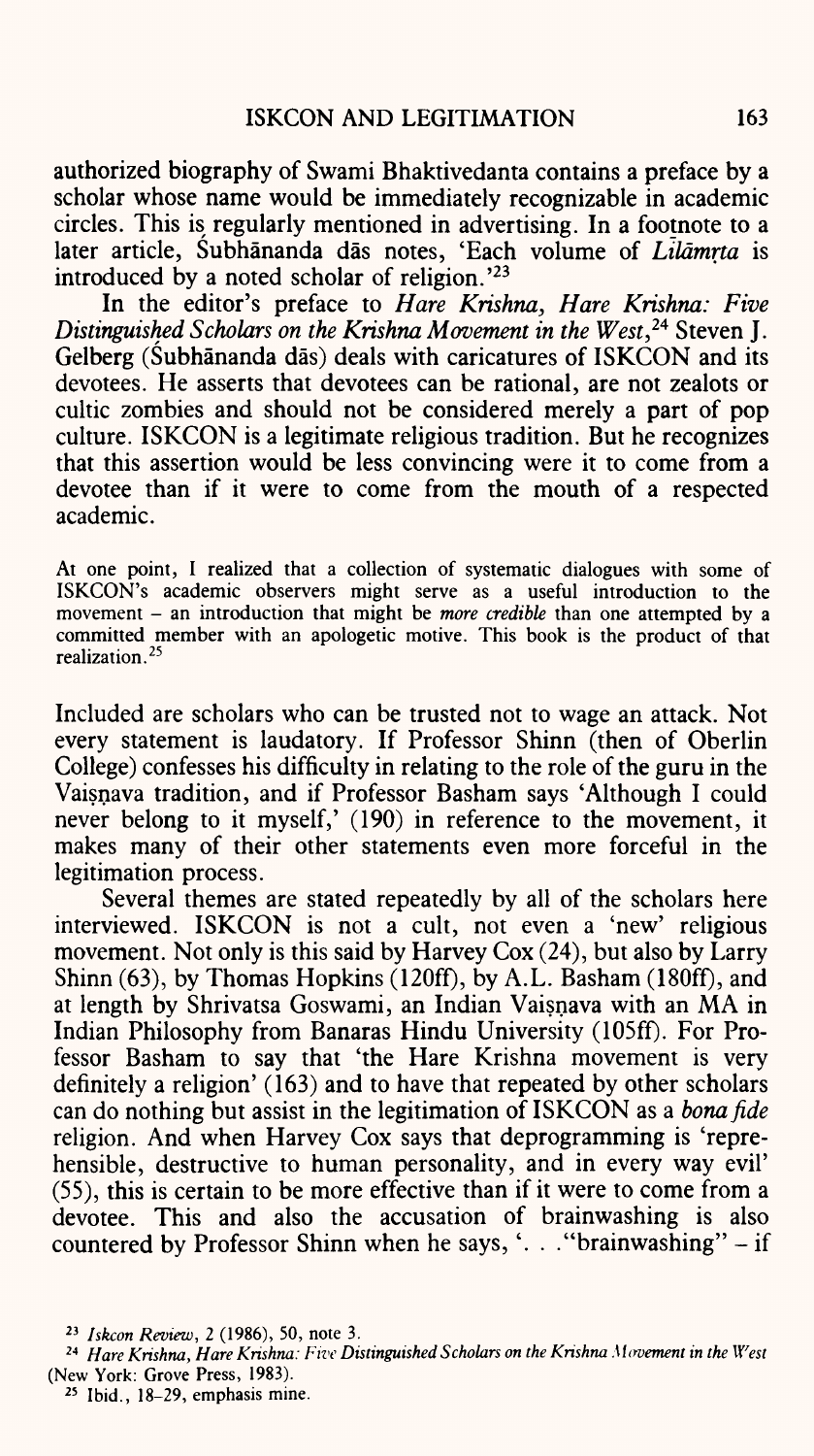authorized biography of Swami Bhaktivedanta contains a preface by a scholar whose name would be immediately recognizable in academic circles. This is regularly mentioned in advertising. In a footnote to a later article, Subhananda das notes, 'Each volume of *Lildmrta* is introduced by a noted scholar of religion.'23

In the editor's preface to *Hare Krishna, Hare Krishna: Five Distinguished Scholars on the Krishna Movement in the West,24* Steven J. Gelberg (Subhananda das) deals with caricatures of ISKCON and its devotees. He asserts that devotees can be rational, are not zealots or cultic zombies and should not be considered merely a part of pop culture. ISKCON is a legitimate religious tradition. But he recognizes that this assertion would be less convincing were it to come from a devotee than if it were to come from the mouth of a respected academic.

At one point, I realized that a collection of systematic dialogues with some of ISKCON's academic observers might serve as a useful introduction to the movement – an introduction that might be *more credible* than one attempted by a committed member with an apologetic motive. This book is the product of that realization. <sup>25</sup>

Included are scholars who can be trusted not to wage an attack. Not every statement is laudatory. If Professor Shinn (then of Oberlin College) confesses his difficulty in relating to the role of the guru in the Vaisnava tradition, and if Professor Basham says 'Although I could never belong to it myself,' (190) in reference to the movement, it makes many of their other statements even more forceful in the legitimation process.

Several themes are stated repeatedly by all of the scholars here interviewed. ISKCON is not a cult, not even a 'new' religious movement. Not only is this said by Harvey Cox (24), but also by Larry Shinn (63), by Thomas Hopkins (120ff), by A.L. Basham (180ff), and at length by Shrivatsa Goswami, an Indian Vaisnava with an MA in Indian Philosophy from Banaras Hindu University (105ff). For Professor Basham to say that 'the Hare Krishna movement is very definitely a religion' (163) and to have that repeated by other scholars can do nothing but assist in the legitimation of ISKCON as a *bonafide*  religion. And when Harvey Cox says that deprogramming is 'reprehensible, destructive to human personality, and in every way evil' (55), this is certain to be more effective than if it were to come from a devotee. This and also the accusation of brainwashing is also countered by Professor Shinn when he says,'. . ."brainwashing" - if

<sup>&</sup>lt;sup>23</sup> *Iskcon Review*, 2 (1986), 50, note 3.

<sup>24</sup>*Hare Krishna, Hare Krishna: Five Distinguished Scholars on the Krishna Movement in the West*  (New York: Grove Press, 1983).

<sup>25</sup> Ibid., 18-29, emphasis mine.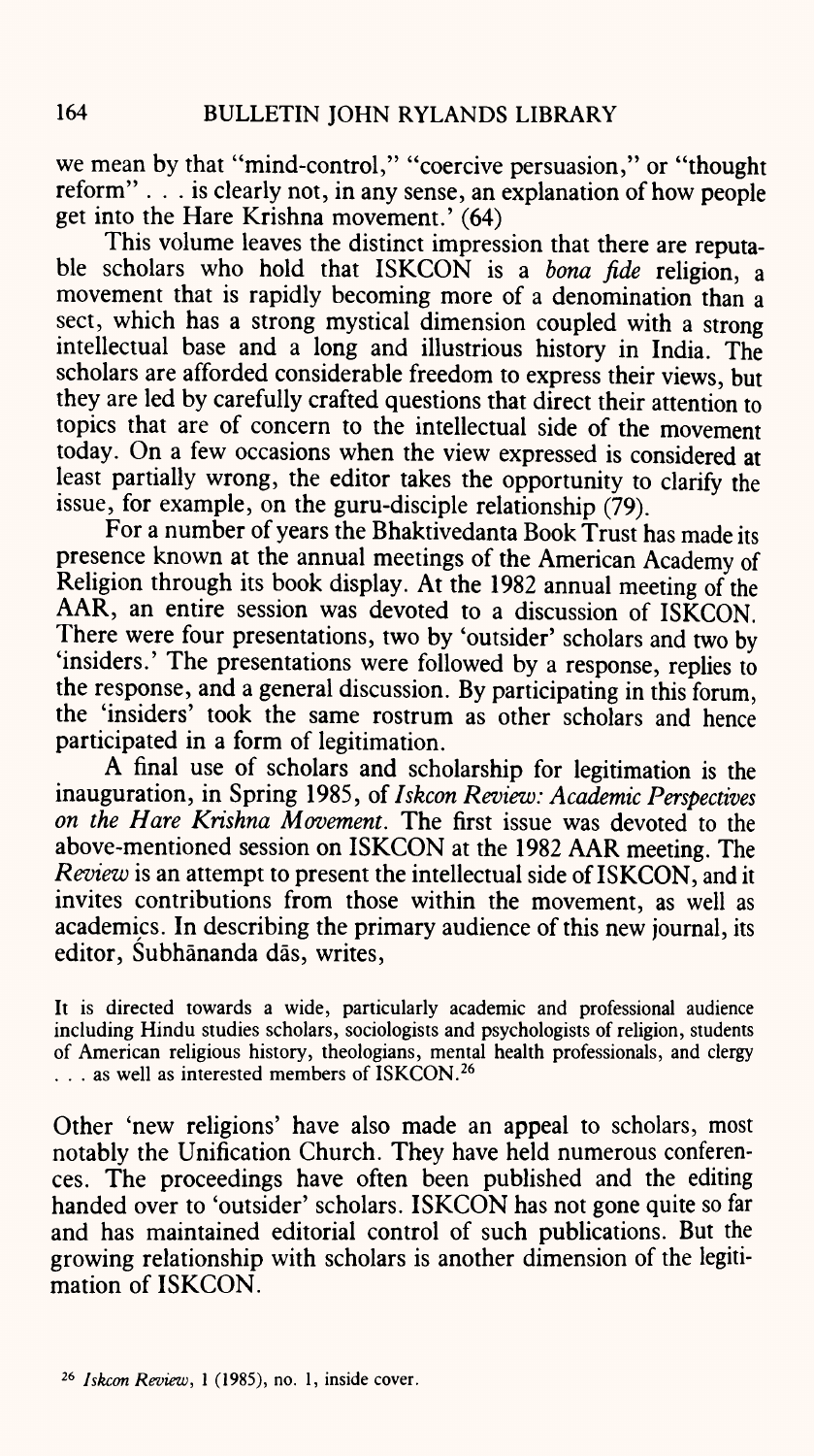we mean by that "mind-control," "coercive persuasion," or "thought reform" ... is clearly not, in any sense, an explanation of how people get into the Hare Krishna movement.' (64)

This volume leaves the distinct impression that there are reputable scholars who hold that ISKCON is a *bona fide* religion, <sup>a</sup> movement that is rapidly becoming more of a denomination than <sup>a</sup> sect, which has a strong mystical dimension coupled with a strong intellectual base and a long and illustrious history in India. The scholars are afforded considerable freedom to express their views, but they are led by carefully crafted questions that direct their attention to topics that are of concern to the intellectual side of the movement today. On a few occasions when the view expressed is considered at least partially wrong, the editor takes the opportunity to clarify the issue, for example, on the guru-disciple relationship (79).

For a number of years the Bhaktivedanta Book Trust has made its presence known at the annual meetings of the American Academy of Religion through its book display. At the 1982 annual meeting of the AAR, an entire session was devoted to a discussion of ISKCON. There were four presentations, two by 'outsider' scholars and two by 'insiders.' The presentations were followed by a response, replies to the response, and a general discussion. By participating in this forum, the 'insiders' took the same rostrum as other scholars and hence participated in a form of legitimation.

<sup>A</sup>final use of scholars and scholarship for legitimation is the inauguration, in Spring 1985, of *Iskcon Review: Academic Perspectives on the Hare Krishna Movement.* The first issue was devoted to the above-mentioned session on ISKCON at the 1982 AAR meeting. The *Review* is an attempt to present the intellectual side of ISKCON, and it invites contributions from those within the movement, as well as academics. In describing the primary audience of this new journal, its editor, Subhananda das, writes,

It is directed towards a wide, particularly academic and professional audience including Hindu studies scholars, sociologists and psychologists of religion, students of American religious history, theologians, mental health professionals, and clergy ... as well as interested members of ISKCON.<sup>26</sup>

Other 'new religions' have also made an appeal to scholars, most notably the Unification Church. They have held numerous conferences. The proceedings have often been published and the editing handed over to 'outsider' scholars. ISKCON has not gone quite so far and has maintained editorial control of such publications. But the growing relationship with scholars is another dimension of the legitimation of ISKCON.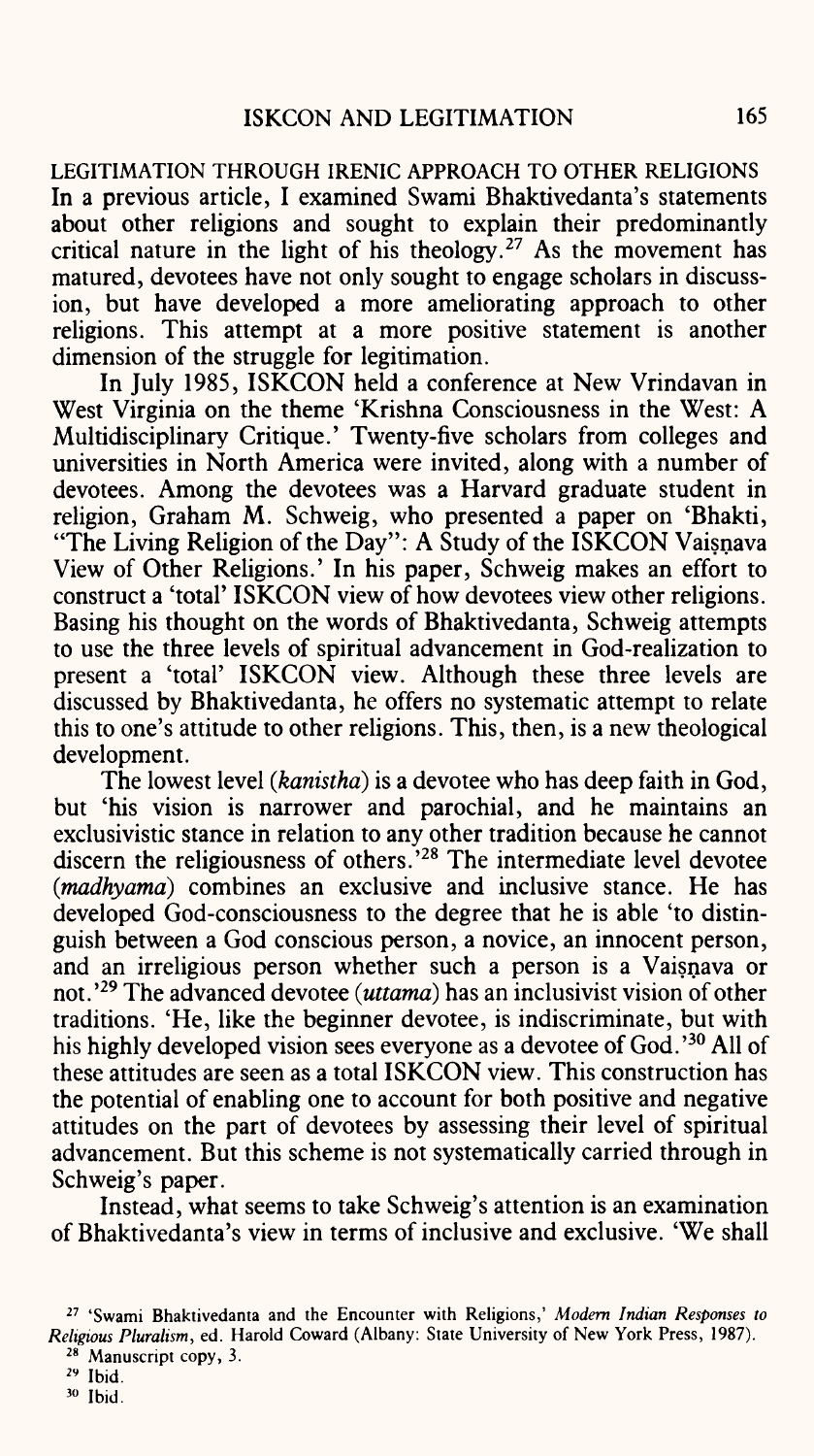LEGITIMATION THROUGH IRENIC APPROACH TO OTHER RELIGIONS In a previous article, I examined Swami Bhaktivedanta's statements about other religions and sought to explain their predominantly critical nature in the light of his theology.<sup>27</sup> As the movement has matured, devotees have not only sought to engage scholars in discussion, but have developed a more ameliorating approach to other religions. This attempt at a more positive statement is another dimension of the struggle for legitimation.

In July 1985, ISKCON held a conference at New Vrindavan in West Virginia on the theme 'Krishna Consciousness in the West: A Multidisciplinary Critique.' Twenty-five scholars from colleges and universities in North America were invited, along with a number of devotees. Among the devotees was a Harvard graduate student in religion, Graham M. Schweig, who presented a paper on 'Bhakti, "The Living Religion of the Day": A Study of the ISKCON Vaisnava View of Other Religions.' In his paper, Schweig makes an effort to construct a 'total' ISKCON view of how devotees view other religions. Basing his thought on the words of Bhaktivedanta, Schweig attempts to use the three levels of spiritual advancement in God-realization to present a 'total' ISKCON view. Although these three levels are discussed by Bhaktivedanta, he offers no systematic attempt to relate this to one's attitude to other religions. This, then, is a new theological development.

The lowest level *(kanisthd)* is a devotee who has deep faith in God, but 'his vision is narrower and parochial, and he maintains an exclusivistic stance in relation to any other tradition because he cannot discern the religiousness of others.'28 The intermediate level devotee *(madhyama)* combines an exclusive and inclusive stance. He has developed God-consciousness to the degree that he is able 'to distinguish between a God conscious person, <sup>a</sup>novice, an innocent person, and an irreligious person whether such a person is a Vaisnava or not.'29 The advanced devotee *(uttamd)* has an inclusivist vision of other traditions. 'He, like the beginner devotee, is indiscriminate, but with his highly developed vision sees everyone as a devotee of God.<sup>'30</sup> All of these attitudes are seen as <sup>a</sup>total ISKCON view. This construction has the potential of enabling one to account for both positive and negative attitudes on the part of devotees by assessing their level of spiritual advancement. But this scheme is not systematically carried through in Schweig's paper.

Instead, what seems to take Schweig's attention is an examination of Bhaktivedanta's view in terms of inclusive and exclusive. 'We shall

30 Ibid.

<sup>27</sup> 'Swami Bhaktivedanta and the Encounter with Religions,' *Modem Indian Responses to Religious Pluralism,* ed. Harold Coward (Albany: State University of New York Press, 1987). 28 Manuscript copy, 3.

<sup>29</sup> Ibid.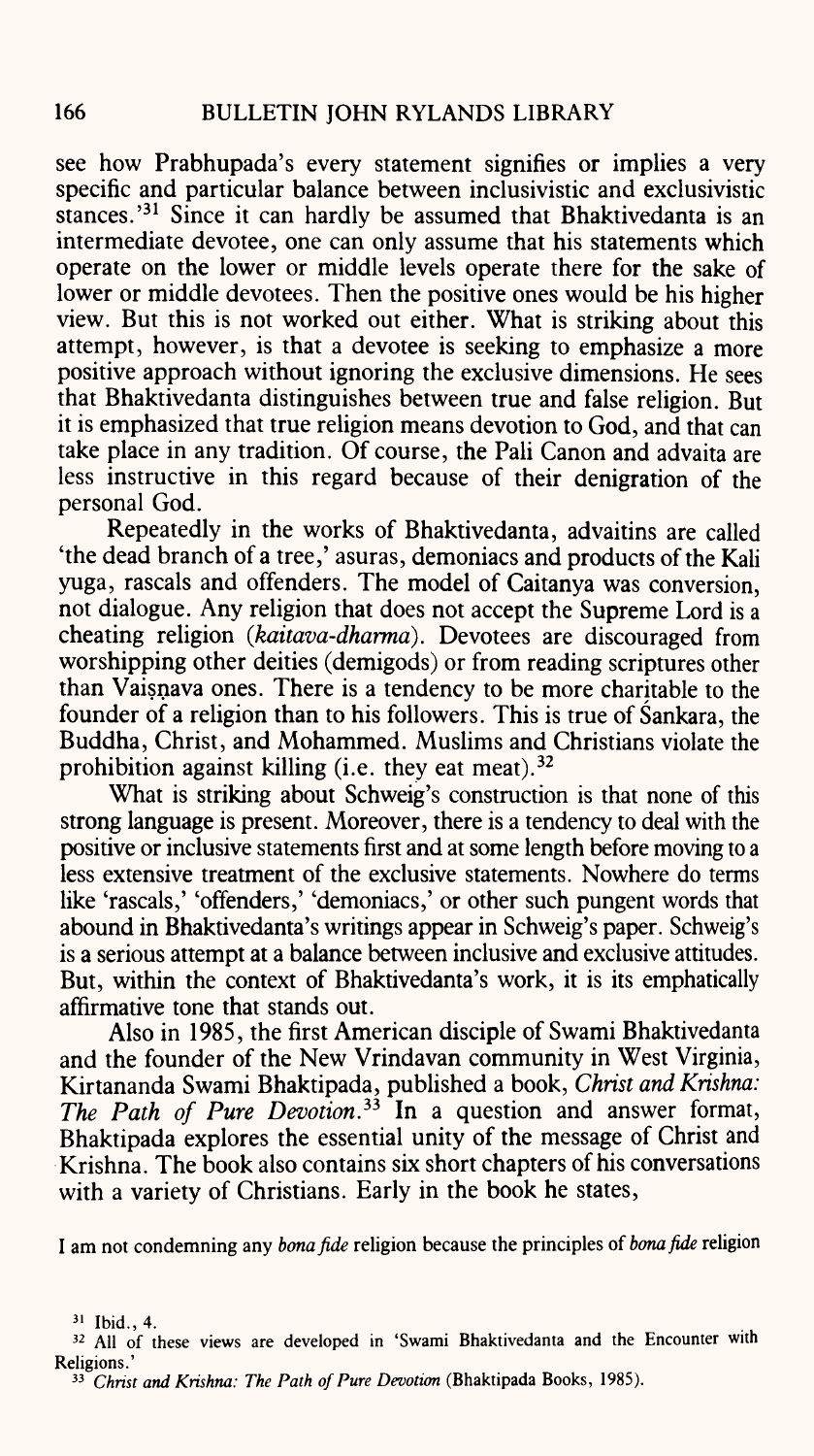see how Prabhupada's every statement signifies or implies a very specific and particular balance between inclusivistic and exclusivistic stances.<sup>31</sup> Since it can hardly be assumed that Bhaktivedanta is an intermediate devotee, one can only assume that his statements which operate on the lower or middle levels operate there for the sake of lower or middle devotees. Then the positive ones would be his higher view. But this is not worked out either. What is striking about this attempt, however, is that a devotee is seeking to emphasize a more positive approach without ignoring the exclusive dimensions. He sees that Bhaktivedanta distinguishes between true and false religion. But it is emphasized that true religion means devotion to God, and that can take place in any tradition. Of course, the Pali Canon and advaita are less instructive in this regard because of their denigration of the personal God.

Repeatedly in the works of Bhaktivedanta, advaitins are called 'the dead branch of a tree,' asuras, demoniacs and products of the Kali yuga, rascals and offenders. The model of Caitanya was conversion, not dialogue. Any religion that does not accept the Supreme Lord is <sup>a</sup> cheating religion *(kaitava-dharma).* Devotees are discouraged from worshipping other deities (demigods) or from reading scriptures other than Vaisnava ones. There is a tendency to be more charitable to the founder of a religion than to his followers. This is true of Sankara, the Buddha, Christ, and Mohammed. Muslims and Christians violate the prohibition against killing (i.e. they eat meat).<sup>32</sup>

What is striking about Schweig's construction is that none of this strong language is present. Moreover, there is a tendency to deal with the positive or inclusive statements first and at some length before moving to <sup>a</sup> less extensive treatment of the exclusive statements. Nowhere do terms like 'rascals,' 'offenders,' 'demoniacs,' or other such pungent words that abound in Bhaktivedanta's writings appear in Schweig's paper. Schweig's is a serious attempt at a balance between inclusive and exclusive attitudes. But, within the context of Bhaktivedanta's work, it is its emphatically affirmative tone that stands out.

Also in 1985, the first American disciple of Swami Bhaktivedanta and the founder of the New Vrindavan community in West Virginia, Kirtananda Swami Bhaktipada, published a book, *Christ and Krishna: The Path of Pure Devotion. 33* In <sup>a</sup>question and answer format, Bhaktipada explores the essential unity of the message of Christ and Krishna. The book also contains six short chapters of his conversations with a variety of Christians. Early in the book he states,

I am not condemning any *bonafide* religion because the principles *ofbonafide* religion

 $31$  Ibid., 4.

<sup>32</sup> All of these views are developed in 'Swami Bhaktivedanta and the Encounter with Religions.'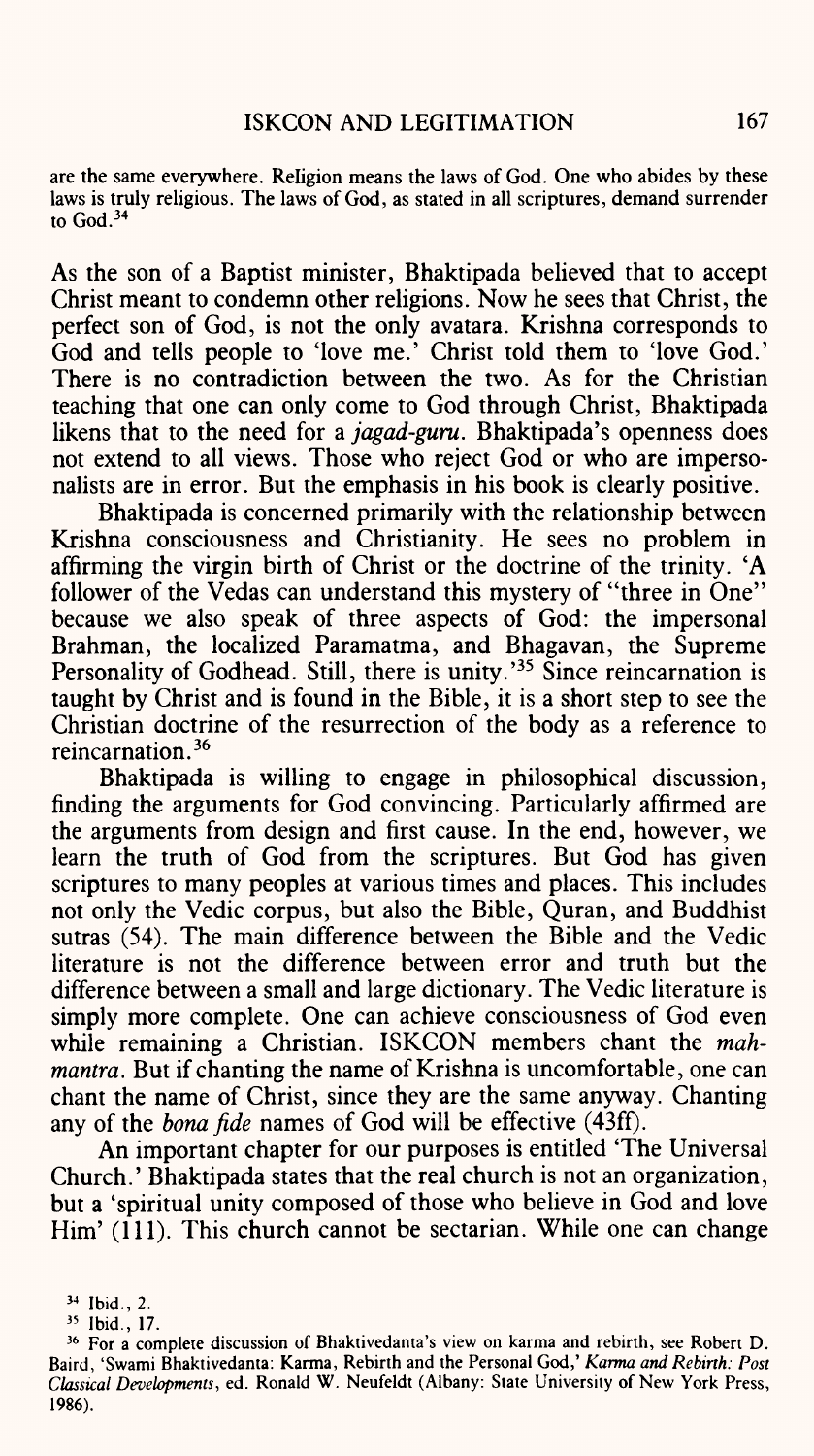are the same everywhere. Religion means the laws of God. One who abides by these laws is truly religious. The laws of God, as stated in all scriptures, demand surrender to God. 34

As the son of a Baptist minister, Bhaktipada believed that to accep<sup>t</sup> Christ meant to condemn other religions. Now he sees that Christ, the perfect son of God, is not the only avatara. Krishna corresponds to God and tells people to 'love me.' Christ told them to 'love God.' There is no contradiction between the two. As for the Christian teaching that one can only come to God through Christ, Bhaktipada likens that to the need for a *jagad-guru.* Bhaktipada's openness does not extend to all views. Those who reject God or who are impersonalists are in error. But the emphasis in his book is clearly positive.

Bhaktipada is concerned primarily with the relationship between Krishna consciousness and Christianity. He sees no problem in affirming the virgin birth of Christ or the doctrine of the trinity. 'A follower of the Vedas can understand this mystery of "three in One" because we also speak of three aspects of God: the impersonal Brahman, the localized Paramatma, and Bhagavan, the Supreme Personality of Godhead. Still, there is unity.<sup>35</sup> Since reincarnation is taught by Christ and is found in the Bible, it is a short step to see the Christian doctrine of the resurrection of the body as a reference to reincarnation. 36

Bhaktipada is willing to engage in philosophical discussion, finding the arguments for God convincing. Particularly affirmed are the arguments from design and first cause. In the end, however, we learn the truth of God from the scriptures. But God has given scriptures to many peoples at various times and places. This includes not only the Vedic corpus, but also the Bible, Quran, and Buddhist sutras (54). The main difference between the Bible and the Vedic literature is not the difference between error and truth but the difference between a small and large dictionary. The Vedic literature is simply more complete. One can achieve consciousness of God even while remaining a Christian. ISKCON members chant the *mahmantra*. But if chanting the name of Krishna is uncomfortable, one can chant the name of Christ, since they are the same anyway. Chanting any of the *bonafide* names of God will be effective (43ff).

An important chapter for our purposes is entitled 'The Universal Church.' Bhaktipada states that the real church is not an organization, but a 'spiritual unity composed of those who believe in God and love Him' (111). This church cannot be sectarian. While one can change

<sup>34</sup> Ibid., 2.

<sup>35</sup> Ibid., 17.

<sup>36</sup> For a complete discussion of Bhaktivedanta's view on karma and rebirth, see Robert D. Baird, 'Swami Bhaktivedanta: Karma, Rebirth and the Personal God,' *Karma and Rebirth: Post Classical Developments,* ed. Ronald W. Neufeldt (Albany: State University of New York Press, 1986).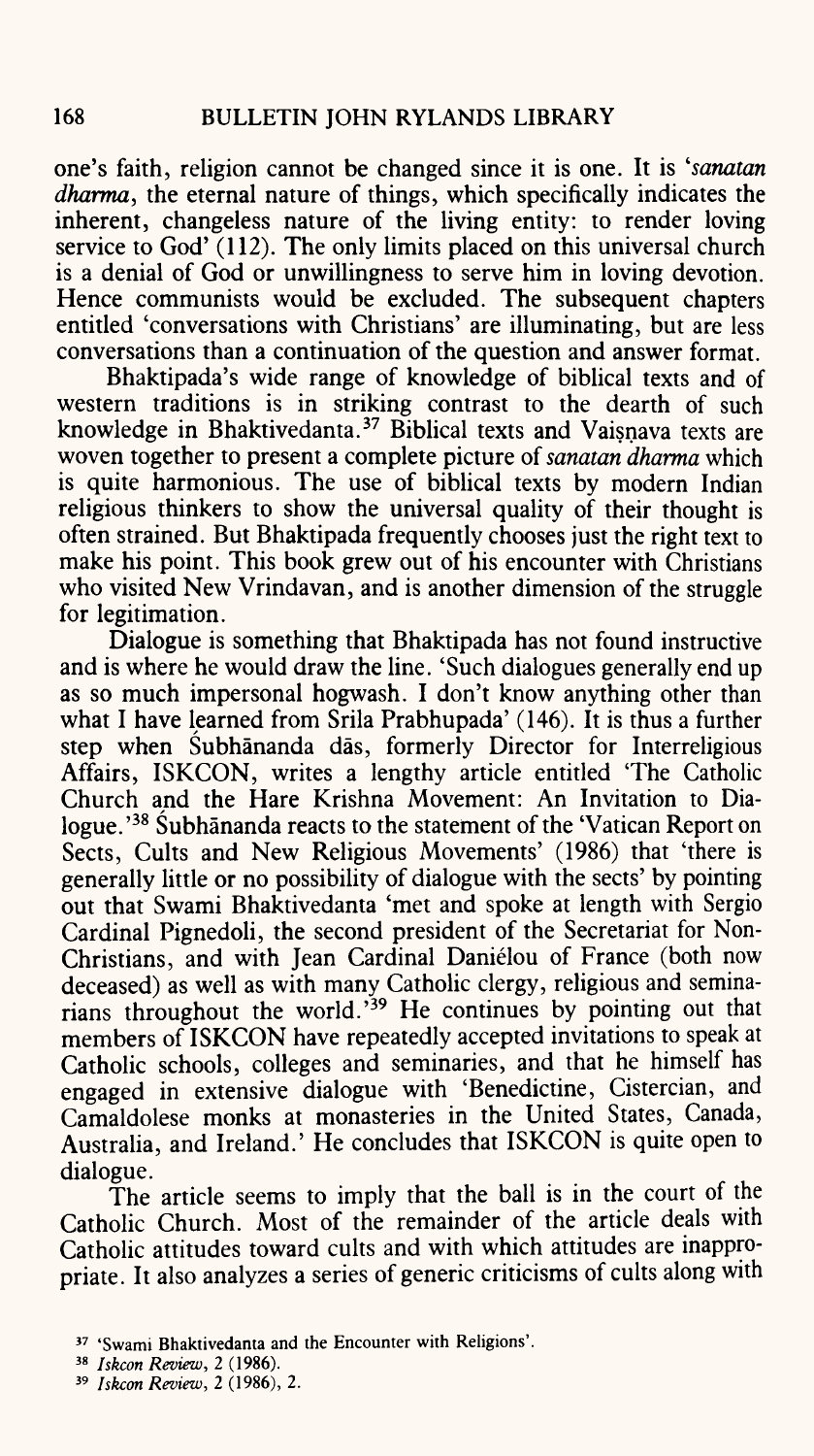one's faith, religion cannot be changed since it is one. It is *'sanatan dharma,* the eternal nature of things, which specifically indicates the inherent, changeless nature of the living entity: to render loving service to God' (112). The only limits placed on this universal church is a denial of God or unwillingness to serve him in loving devotion. Hence communists would be excluded. The subsequent chapters entitled 'conversations with Christians' are illuminating, but are less conversations than a continuation of the question and answer format.

Bhaktipada's wide range of knowledge of biblical texts and of western traditions is in striking contrast to the dearth of such knowledge in Bhaktivedanta. 37 Biblical texts and Vaisnava texts are woven together to present a complete picture of *sanatan dharma* which is quite harmonious. The use of biblical texts by modern Indian religious thinkers to show the universal quality of their thought is often strained. But Bhaktipada frequently chooses just the right text to make his point. This book grew out of his encounter with Christians who visited New Vrindavan, and is another dimension of the struggle for legitimation.

Dialogue is something that Bhaktipada has not found instructive and is where he would draw the line. 'Such dialogues generally end up as so much impersonal hogwash. I don't know anything other than what I have learned from Srila Prabhupada' (146). It is thus a further step when Subhananda das, formerly Director for Interreligious Affairs, ISKCON, writes a lengthy article entitled The Catholic Church and the Hare Krishna Movement: An Invitation to Dialogue.<sup>38</sup> Subhananda reacts to the statement of the 'Vatican Report on Sects, Cults and New Religious Movements' (1986) that 'there is generally little or no possibility of dialogue with the sects' by pointing out that Swami Bhaktivedanta 'met and spoke at length with Sergio Cardinal Pignedoli, the second president of the Secretariat for Non-Christians, and with Jean Cardinal Danielou of France (both now deceased) as well as with many Catholic clergy, religious and seminarians throughout the world.'39 He continues by pointing out that members of ISKCON have repeatedly accepted invitations to speak at Catholic schools, colleges and seminaries, and that he himself has engaged in extensive dialogue with 'Benedictine, Cistercian, and Camaldolese monks at monasteries in the United States, Canada, Australia, and Ireland.' He concludes that ISKCON is quite open to dialogue.

The article seems to imply that the ball is in the court of the Catholic Church. Most of the remainder of the article deals with Catholic attitudes toward cults and with which attitudes are inappropriate. It also analyzes a series of generic criticisms of cults along with

<sup>37</sup> 'Swami Bhaktivedanta and the Encounter with Religions'.

<sup>38</sup> *Iskcon Review, 2* (1986).

<sup>39</sup> *Iskcon Review, 2* (1986), 2.